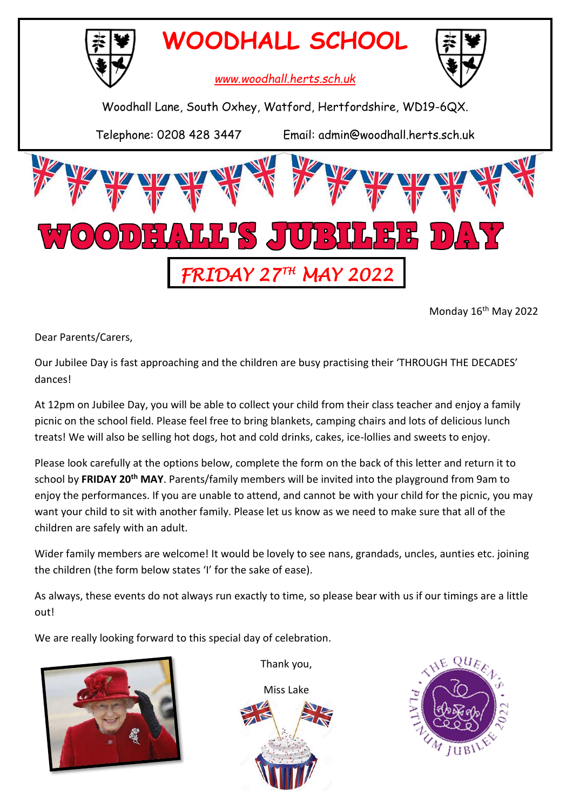

Monday 16th May 2022

Dear Parents/Carers,

Our Jubilee Day is fast approaching and the children are busy practising their 'THROUGH THE DECADES' dances!

At 12pm on Jubilee Day, you will be able to collect your child from their class teacher and enjoy a family picnic on the school field. Please feel free to bring blankets, camping chairs and lots of delicious lunch treats! We will also be selling hot dogs, hot and cold drinks, cakes, ice-lollies and sweets to enjoy.

Please look carefully at the options below, complete the form on the back of this letter and return it to school by **FRIDAY 20th MAY**. Parents/family members will be invited into the playground from 9am to enjoy the performances. If you are unable to attend, and cannot be with your child for the picnic, you may want your child to sit with another family. Please let us know as we need to make sure that all of the children are safely with an adult.

Wider family members are welcome! It would be lovely to see nans, grandads, uncles, aunties etc. joining the children (the form below states 'I' for the sake of ease).

As always, these events do not always run exactly to time, so please bear with us if our timings are a little out!

We are really looking forward to this special day of celebration.



Thank you,